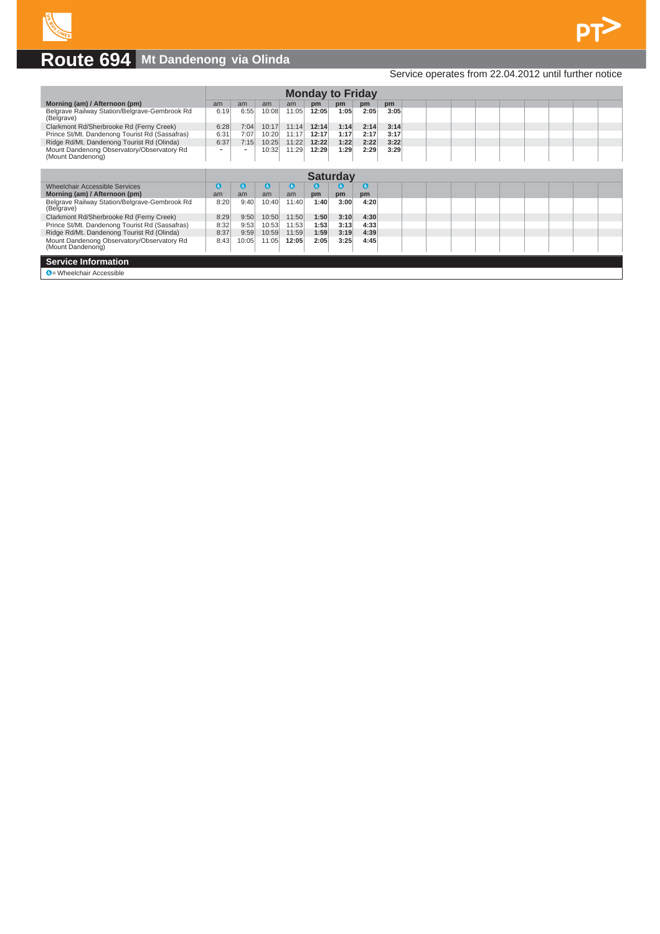

## **Route 694 Mt Dandenong via Olinda**

## Service operates from 22.04.2012 until further notice

|                                                                 | <b>Monday to Friday</b> |                          |       |           |              |           |           |      |  |  |  |  |  |  |
|-----------------------------------------------------------------|-------------------------|--------------------------|-------|-----------|--------------|-----------|-----------|------|--|--|--|--|--|--|
| Morning (am) / Afternoon (pm)                                   | am                      | am                       | am    | am        | pm           | pm        | pm        | pm   |  |  |  |  |  |  |
| Belgrave Railway Station/Belgrave-Gembrook Rd<br>(Belgrave)     | 6:19                    | 6:55                     | 10:08 | 11:05     | 12:05        | 1:05      | 2:05      | 3:05 |  |  |  |  |  |  |
| Clarkmont Rd/Sherbrooke Rd (Ferny Creek)                        | 6:28                    | 7:04                     | 10:17 | 11:14     | 12:14        | 1:14      | 2:14      | 3:14 |  |  |  |  |  |  |
| Prince St/Mt. Dandenong Tourist Rd (Sassafras)                  | 6:31                    | 7:07                     | 10:20 | 11:17     | 12:17        | 1:17      | 2:17      | 3:17 |  |  |  |  |  |  |
| Ridge Rd/Mt. Dandenong Tourist Rd (Olinda)                      | 6:37                    | 7:15                     | 10:25 | 11:22     | 12:22        | 1:22      | 2:22      | 3:22 |  |  |  |  |  |  |
| Mount Dandenong Observatory/Observatory Rd<br>(Mount Dandenong) | -                       | $\overline{\phantom{a}}$ | 10:32 | 11:29     | 12:29        | 1:29      | 2:29      | 3:29 |  |  |  |  |  |  |
|                                                                 | <b>Saturday</b>         |                          |       |           |              |           |           |      |  |  |  |  |  |  |
|                                                                 |                         |                          |       |           |              |           |           |      |  |  |  |  |  |  |
| <b>Wheelchair Accessible Services</b>                           | $\epsilon$              | G                        | G     | $\bullet$ | $\mathbf{G}$ | $\bullet$ | $\bullet$ |      |  |  |  |  |  |  |
| Morning (am) / Afternoon (pm)                                   | am                      | am                       | am    | am        | pm           | pm        | pm        |      |  |  |  |  |  |  |
| Belgrave Railway Station/Belgrave-Gembrook Rd<br>(Belgrave)     | 8:20                    | 9:40                     | 10:40 | 11:40     | 1:40         | 3:00      | 4:20      |      |  |  |  |  |  |  |
| Clarkmont Rd/Sherbrooke Rd (Ferny Creek)                        | 8:29                    | 9:50                     | 10:50 | 11:50     | 1:50         | 3:10      | 4:30      |      |  |  |  |  |  |  |
| Prince St/Mt. Dandenong Tourist Rd (Sassafras)                  | 8:32                    | 9:53                     | 10:53 | 11:53     | 1:53         | 3:13      | 4:33      |      |  |  |  |  |  |  |
| Ridge Rd/Mt. Dandenong Tourist Rd (Olinda)                      | 8:37                    | 9:59                     | 10:59 | 11:59     | 1:59         | 3:19      | 4:39      |      |  |  |  |  |  |  |
| Mount Dandenong Observatory/Observatory Rd<br>(Mount Dandenong) | 8:43                    | 10:05                    | 11:05 | 12:05     | 2:05         | 3:25      | 4:45      |      |  |  |  |  |  |  |
| <b>Service Information</b>                                      |                         |                          |       |           |              |           |           |      |  |  |  |  |  |  |
| C = Wheelchair Accessible                                       |                         |                          |       |           |              |           |           |      |  |  |  |  |  |  |